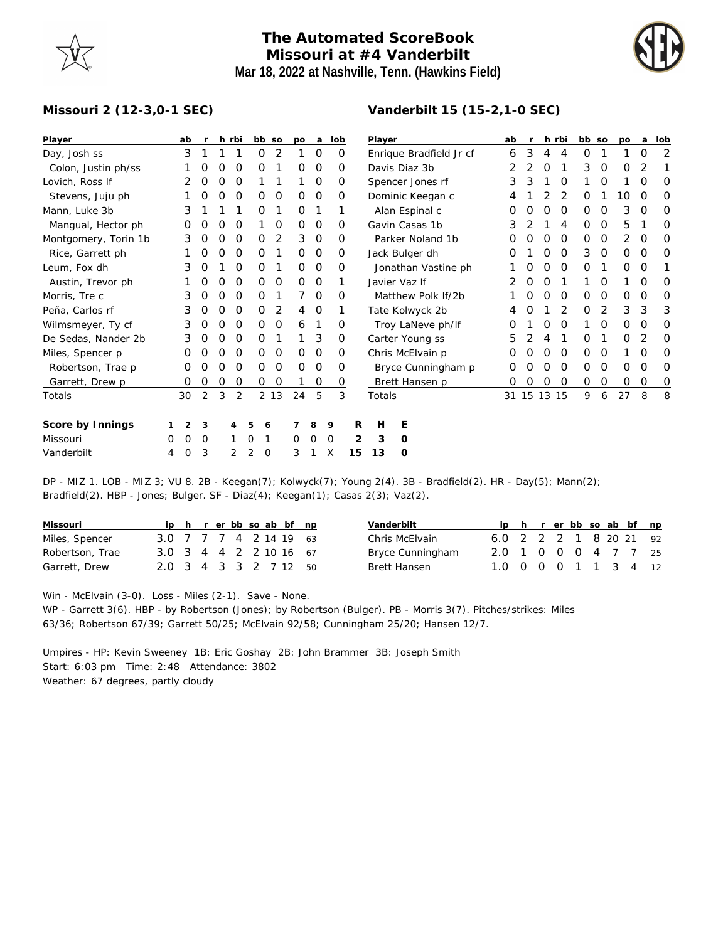## **The Automated ScoreBook Missouri at #4 Vanderbilt Mar 18, 2022 at Nashville, Tenn. (Hawkins Field)**



## **Missouri 2 (12-3,0-1 SEC)**

| Player               |          | ab             | r        |   | h rbi    | bb so         |               | po       | a        | lob      |    | Player |                    |                         | ab | $\mathsf{r}$ |                  | h rbi    | bb so |   | po          | a        | lob |
|----------------------|----------|----------------|----------|---|----------|---------------|---------------|----------|----------|----------|----|--------|--------------------|-------------------------|----|--------------|------------------|----------|-------|---|-------------|----------|-----|
| Day, Josh ss         |          | 3              |          |   |          | 0             | 2             |          | 0        | 0        |    |        |                    | Enrique Bradfield Jr cf | 6  | 3            | 4                | 4        | 0     |   |             | O        | 2   |
| Colon, Justin ph/ss  |          |                |          |   | O        | Ο             |               | O        | $\Omega$ | O        |    |        | Davis Diaz 3b      |                         |    |              | O                |          | 3     | 0 | O           |          |     |
| Lovich, Ross If      |          |                | O        | O | 0        |               |               |          | 0        | $\Omega$ |    |        | Spencer Jones rf   |                         | 3  | 3            |                  | O        |       | 0 |             | O        | 0   |
| Stevens, Juju ph     |          |                |          | Ο | $\Omega$ | 0             | 0             | $\Omega$ | 0        | O        |    |        | Dominic Keegan c   |                         |    |              |                  | 2        | O     |   | 10          | $\Omega$ | O   |
| Mann, Luke 3b        |          | 3              |          |   |          | 0             |               | O        |          |          |    |        | Alan Espinal c     |                         |    |              | O                | 0        | 0     | 0 | 3           | O        | 0   |
| Mangual, Hector ph   |          |                |          | Ο | O        |               | 0             | $\Omega$ | 0        | 0        |    |        | Gavin Casas 1b     |                         | 3  |              |                  | 4        | 0     | 0 | 5           |          | 0   |
| Montgomery, Torin 1b |          | 3              |          | Ω | 0        | 0             | 2             | 3        | $\circ$  | O        |    |        | Parker Noland 1b   |                         |    |              | $\Omega$         | $\Omega$ | 0     | 0 | 2           | O        | O   |
| Rice, Garrett ph     |          |                |          | Ο | 0        | 0             |               | 0        | 0        | 0        |    |        | Jack Bulger dh     |                         | ∩  |              | Ο                | 0        | 3     | 0 | $\mathbf 0$ | $\Omega$ | 0   |
| Leum, Fox dh         |          | 3              | O        |   | 0        | 0             |               | $\Omega$ | 0        | 0        |    |        |                    | Jonathan Vastine ph     |    |              | O                | $\Omega$ | 0     |   | 0           | O        |     |
| Austin, Trevor ph    |          |                |          |   | 0        | 0             | 0             | $\Omega$ | 0        |          |    |        | Javier Vaz If      |                         |    |              |                  |          |       | 0 |             | O        | 0   |
| Morris, Tre c        |          | 3              | O        | O | 0        | 0             |               |          | 0        | $\Omega$ |    |        | Matthew Polk If/2b |                         |    | $\left($     | $\Omega$         | $\Omega$ | 0     | 0 | $\Omega$    | 0        | O   |
| Peña, Carlos rf      |          | 3              | 0        | O | 0        | 0             | 2             | 4        | 0        |          |    |        | Tate Kolwyck 2b    |                         |    |              |                  | 2        | 0     | 2 | 3           | 3        | 3   |
| Wilmsmeyer, Ty cf    |          | 3              |          | ი | $\Omega$ | Ο             | 0             | 6        |          | O        |    |        | Troy LaNeve ph/lf  |                         |    |              |                  | $\Omega$ |       | O | $\Omega$    | O        | O   |
| De Sedas, Nander 2b  |          | 3              | O        | O | 0        | O             |               |          | 3        | 0        |    |        | Carter Young ss    |                         | 5  |              | 4                |          | 0     |   | 0           | 2        | O   |
| Miles, Spencer p     |          |                |          | Ω | 0        | 0             | 0             | $\Omega$ | 0        | 0        |    |        | Chris McElvain p   |                         |    |              | $\left( \right)$ | 0        | 0     | 0 |             | O        | 0   |
| Robertson, Trae p    |          | 0              | O        | Ο | O        | 0             | $\mathcal{O}$ | $\Omega$ | 0        | 0        |    |        |                    | Bryce Cunningham p      | Ο  |              | $\Omega$         | 0        | 0     | 0 | $\mathbf 0$ | 0        | 0   |
| Garrett, Drew p      |          | 0              | O        | O | 0        | 0             | O             |          | 0        | 0        |    |        | Brett Hansen p     |                         | Ο  |              | 0                | 0        | 0     | 0 | $\mathbf 0$ | 0        | 0   |
| Totals               |          | 30             | 2        | 3 | 2        |               | 2 13          | 24       | 5        | 3        |    | Totals |                    |                         | 31 | 15           | 13               | 15       | 9     | 6 | 27          | 8        | 8   |
| Score by Innings     |          | $\overline{2}$ | 3        |   | 4        | 5<br>6        |               |          | 8        | 9        | R  | Н      | Ε                  |                         |    |              |                  |          |       |   |             |          |     |
| Missouri             | $\Omega$ | $\Omega$       | $\Omega$ |   |          | $\Omega$      |               | 0        | $\Omega$ | $\circ$  | 2  | 3      | O                  |                         |    |              |                  |          |       |   |             |          |     |
| Vanderbilt           | 4        | $\Omega$       | 3        |   | 2        | 2<br>$\Omega$ |               | 3        |          | X        | 15 | 13     | O                  |                         |    |              |                  |          |       |   |             |          |     |

DP - MIZ 1. LOB - MIZ 3; VU 8. 2B - Keegan(7); Kolwyck(7); Young 2(4). 3B - Bradfield(2). HR - Day(5); Mann(2); Bradfield(2). HBP - Jones; Bulger. SF - Diaz(4); Keegan(1); Casas 2(3); Vaz(2).

| Missouri        |                        |  |  |  | ip h r er bb so ab bf np |  |
|-----------------|------------------------|--|--|--|--------------------------|--|
| Miles, Spencer  | 3.0 7 7 7 4 2 14 19 63 |  |  |  |                          |  |
| Robertson, Trae | 3.0 3 4 4 2 2 10 16 67 |  |  |  |                          |  |
| Garrett, Drew   | 2.0 3 4 3 3 2 7 12 50  |  |  |  |                          |  |

| Vanderbilt          |                        |  |  |  | h rerbb so ab bf np |
|---------------------|------------------------|--|--|--|---------------------|
| Chris McElvain      | 6.0 2 2 2 1 8 20 21 92 |  |  |  |                     |
| Bryce Cunningham    | 2.0 1 0 0 0 4 7 7 25   |  |  |  |                     |
| <b>Brett Hansen</b> | 1.0 0 0 0 1 1 3 4 12   |  |  |  |                     |

Win - McElvain (3-0). Loss - Miles (2-1). Save - None.

WP - Garrett 3(6). HBP - by Robertson (Jones); by Robertson (Bulger). PB - Morris 3(7). Pitches/strikes: Miles 63/36; Robertson 67/39; Garrett 50/25; McElvain 92/58; Cunningham 25/20; Hansen 12/7.

Umpires - HP: Kevin Sweeney 1B: Eric Goshay 2B: John Brammer 3B: Joseph Smith Start: 6:03 pm Time: 2:48 Attendance: 3802 Weather: 67 degrees, partly cloudy

## **Vanderbilt 15 (15-2,1-0 SEC)**